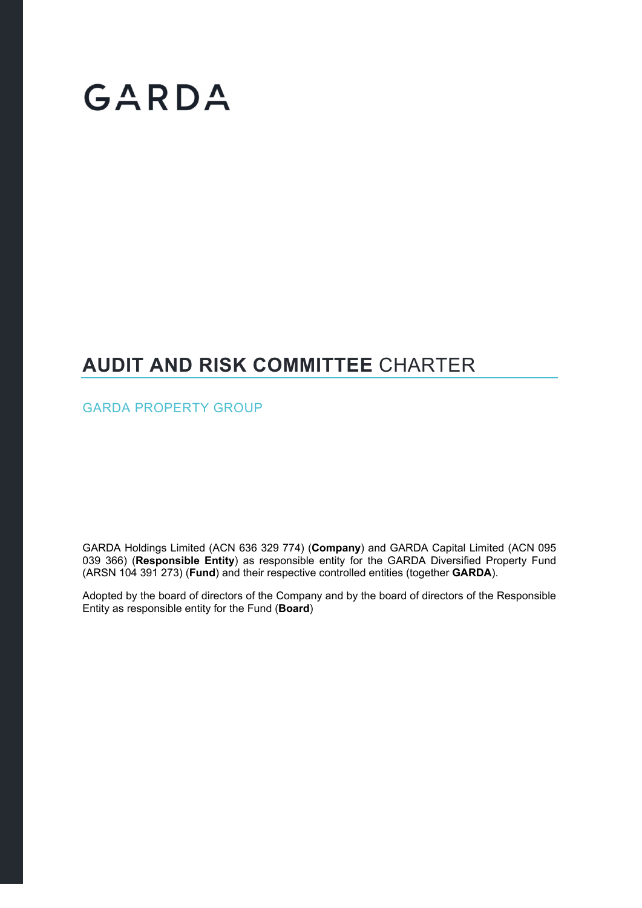# GARDA

### **AUDIT AND RISK COMMITTEE** CHARTER

GARDA PROPERTY GROUP

GARDA Holdings Limited (ACN 636 329 774) (**Company**) and GARDA Capital Limited (ACN 095 039 366) (**Responsible Entity**) as responsible entity for the GARDA Diversified Property Fund (ARSN 104 391 273) (**Fund**) and their respective controlled entities (together **GARDA**).

Adopted by the board of directors of the Company and by the board of directors of the Responsible Entity as responsible entity for the Fund (**Board**)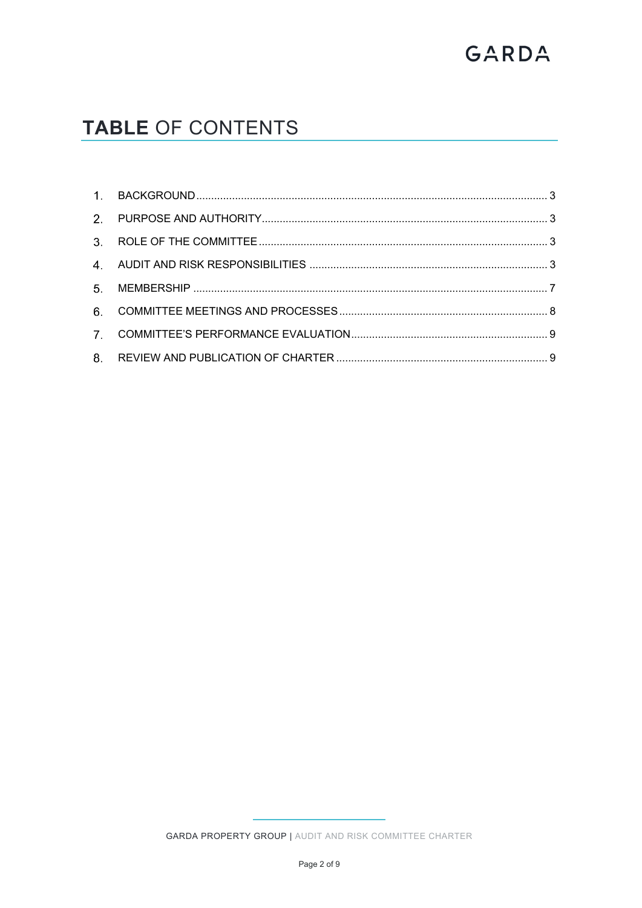# GARDA

## **TABLE OF CONTENTS**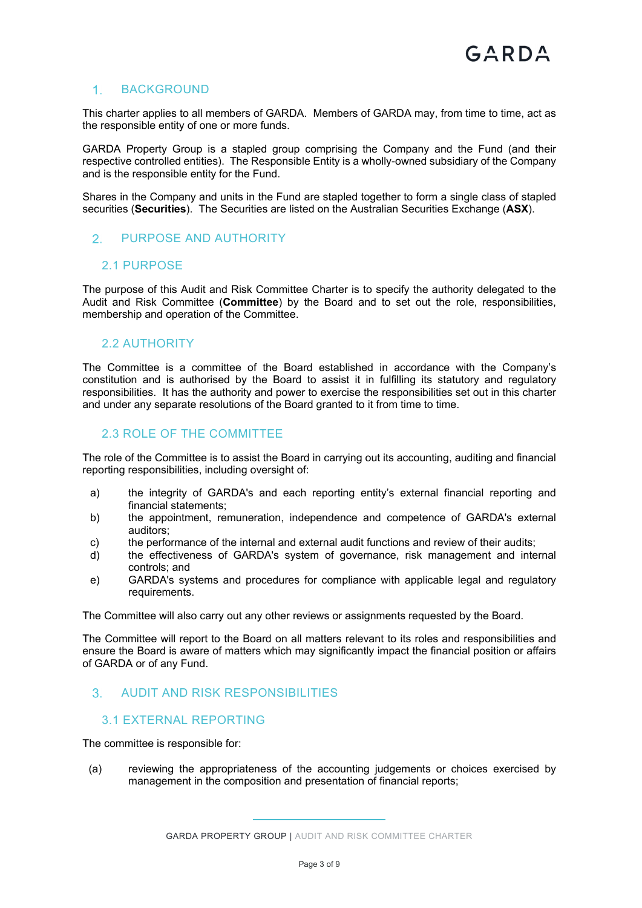#### 1. BACKGROUND

This charter applies to all members of GARDA. Members of GARDA may, from time to time, act as the responsible entity of one or more funds.

GARDA Property Group is a stapled group comprising the Company and the Fund (and their respective controlled entities). The Responsible Entity is a wholly-owned subsidiary of the Company and is the responsible entity for the Fund.

Shares in the Company and units in the Fund are stapled together to form a single class of stapled securities (**Securities**). The Securities are listed on the Australian Securities Exchange (**ASX**).

#### 2. PURPOSE AND AUTHORITY

#### 2.1 PURPOSE

The purpose of this Audit and Risk Committee Charter is to specify the authority delegated to the Audit and Risk Committee (**Committee**) by the Board and to set out the role, responsibilities, membership and operation of the Committee.

#### 2.2 AUTHORITY

The Committee is a committee of the Board established in accordance with the Company's constitution and is authorised by the Board to assist it in fulfilling its statutory and regulatory responsibilities. It has the authority and power to exercise the responsibilities set out in this charter and under any separate resolutions of the Board granted to it from time to time.

#### 2.3 ROLE OF THE COMMITTEE

The role of the Committee is to assist the Board in carrying out its accounting, auditing and financial reporting responsibilities, including oversight of:

- a) the integrity of GARDA's and each reporting entity's external financial reporting and financial statements;
- b) the appointment, remuneration, independence and competence of GARDA's external auditors;
- c) the performance of the internal and external audit functions and review of their audits;
- d) the effectiveness of GARDA's system of governance, risk management and internal controls; and
- e) GARDA's systems and procedures for compliance with applicable legal and regulatory requirements.

The Committee will also carry out any other reviews or assignments requested by the Board.

The Committee will report to the Board on all matters relevant to its roles and responsibilities and ensure the Board is aware of matters which may significantly impact the financial position or affairs of GARDA or of any Fund.

#### AUDIT AND RISK RESPONSIBILITIES

#### 3.1 EXTERNAL REPORTING

The committee is responsible for:

(a) reviewing the appropriateness of the accounting judgements or choices exercised by management in the composition and presentation of financial reports;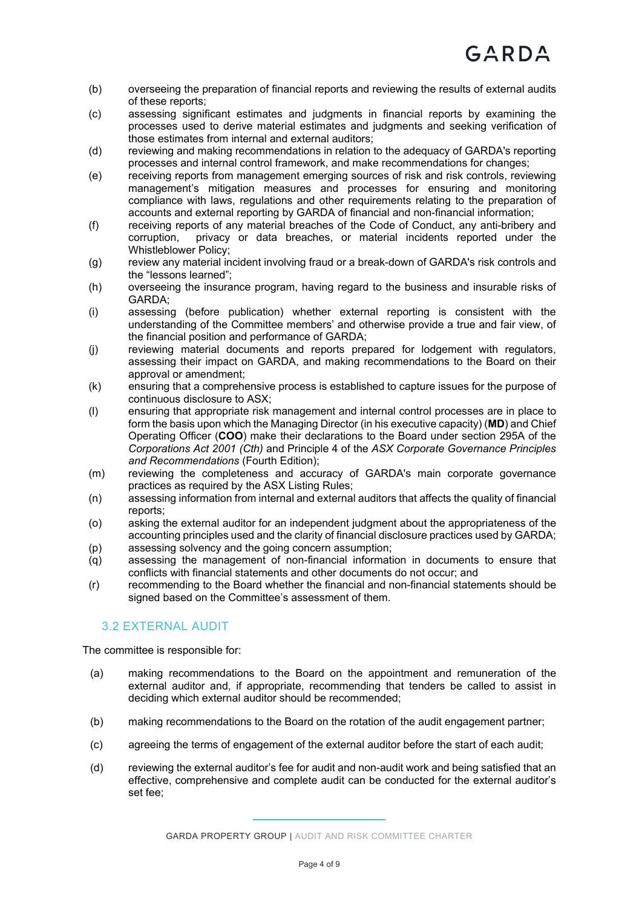- (b) overseeing the preparation of financial reports and reviewing the results of external audits of these reports;
- (c) assessing significant estimates and judgments in financial reports by examining the processes used to derive material estimates and judgments and seeking verification of those estimates from internal and external auditors;
- (d) reviewing and making recommendations in relation to the adequacy of GARDA's reporting processes and internal control framework, and make recommendations for changes;
- (e) receiving reports from management emerging sources of risk and risk controls, reviewing management's mitigation measures and processes for ensuring and monitoring compliance with laws, regulations and other requirements relating to the preparation of accounts and external reporting by GARDA of financial and non-financial information;
- (f) receiving reports of any material breaches of the Code of Conduct, any anti-bribery and corruption, privacy or data breaches, or material incidents reported under the Whistleblower Policy;
- (g) review any material incident involving fraud or a break-down of GARDA's risk controls and the "lessons learned";
- (h) overseeing the insurance program, having regard to the business and insurable risks of GARDA;
- (i) assessing (before publication) whether external reporting is consistent with the understanding of the Committee members' and otherwise provide a true and fair view, of the financial position and performance of GARDA;
- (j) reviewing material documents and reports prepared for lodgement with regulators, assessing their impact on GARDA, and making recommendations to the Board on their approval or amendment;
- (k) ensuring that a comprehensive process is established to capture issues for the purpose of continuous disclosure to ASX;
- (l) ensuring that appropriate risk management and internal control processes are in place to form the basis upon which the Managing Director (in his executive capacity) (**MD**) and Chief Operating Officer (**COO**) make their declarations to the Board under section 295A of the *Corporations Act 2001 (Cth)* and Principle 4 of the *ASX Corporate Governance Principles and Recommendations* (Fourth Edition);
- (m) reviewing the completeness and accuracy of GARDA's main corporate governance practices as required by the ASX Listing Rules;
- (n) assessing information from internal and external auditors that affects the quality of financial reports;
- (o) asking the external auditor for an independent judgment about the appropriateness of the accounting principles used and the clarity of financial disclosure practices used by GARDA; (p) assessing solvency and the going concern assumption;
- (q) assessing the management of non-financial information in documents to ensure that conflicts with financial statements and other documents do not occur; and
- (r) recommending to the Board whether the financial and non-financial statements should be signed based on the Committee's assessment of them.

#### 3.2 EXTERNAL AUDIT

The committee is responsible for:

- (a) making recommendations to the Board on the appointment and remuneration of the external auditor and, if appropriate, recommending that tenders be called to assist in deciding which external auditor should be recommended;
- (b) making recommendations to the Board on the rotation of the audit engagement partner;
- (c) agreeing the terms of engagement of the external auditor before the start of each audit;
- (d) reviewing the external auditor's fee for audit and non-audit work and being satisfied that an effective, comprehensive and complete audit can be conducted for the external auditor's set fee;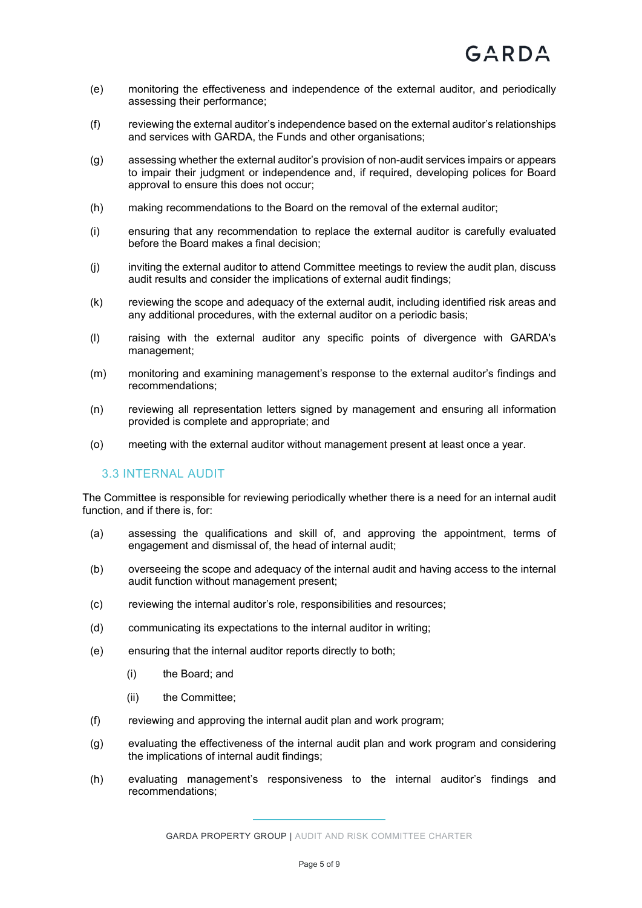- (e) monitoring the effectiveness and independence of the external auditor, and periodically assessing their performance;
- (f) reviewing the external auditor's independence based on the external auditor's relationships and services with GARDA, the Funds and other organisations;
- (g) assessing whether the external auditor's provision of non-audit services impairs or appears to impair their judgment or independence and, if required, developing polices for Board approval to ensure this does not occur;
- (h) making recommendations to the Board on the removal of the external auditor;
- (i) ensuring that any recommendation to replace the external auditor is carefully evaluated before the Board makes a final decision;
- (j) inviting the external auditor to attend Committee meetings to review the audit plan, discuss audit results and consider the implications of external audit findings;
- (k) reviewing the scope and adequacy of the external audit, including identified risk areas and any additional procedures, with the external auditor on a periodic basis;
- (l) raising with the external auditor any specific points of divergence with GARDA's management;
- (m) monitoring and examining management's response to the external auditor's findings and recommendations;
- (n) reviewing all representation letters signed by management and ensuring all information provided is complete and appropriate; and
- (o) meeting with the external auditor without management present at least once a year.

#### 3.3 INTERNAL AUDIT

The Committee is responsible for reviewing periodically whether there is a need for an internal audit function, and if there is, for:

- (a) assessing the qualifications and skill of, and approving the appointment, terms of engagement and dismissal of, the head of internal audit;
- (b) overseeing the scope and adequacy of the internal audit and having access to the internal audit function without management present;
- (c) reviewing the internal auditor's role, responsibilities and resources;
- (d) communicating its expectations to the internal auditor in writing;
- (e) ensuring that the internal auditor reports directly to both;
	- (i) the Board; and
	- (ii) the Committee;
- (f) reviewing and approving the internal audit plan and work program;
- (g) evaluating the effectiveness of the internal audit plan and work program and considering the implications of internal audit findings;
- (h) evaluating management's responsiveness to the internal auditor's findings and recommendations;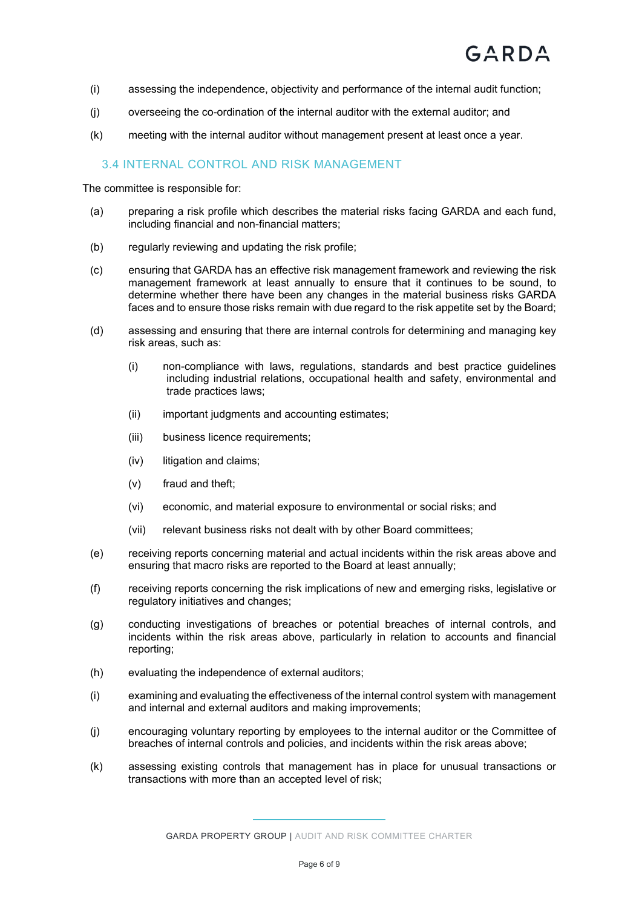- (i) assessing the independence, objectivity and performance of the internal audit function;
- (j) overseeing the co-ordination of the internal auditor with the external auditor; and
- (k) meeting with the internal auditor without management present at least once a year.

#### 3.4 INTERNAL CONTROL AND RISK MANAGEMENT

The committee is responsible for:

- (a) preparing a risk profile which describes the material risks facing GARDA and each fund, including financial and non-financial matters;
- (b) regularly reviewing and updating the risk profile;
- (c) ensuring that GARDA has an effective risk management framework and reviewing the risk management framework at least annually to ensure that it continues to be sound, to determine whether there have been any changes in the material business risks GARDA faces and to ensure those risks remain with due regard to the risk appetite set by the Board;
- (d) assessing and ensuring that there are internal controls for determining and managing key risk areas, such as:
	- (i) non-compliance with laws, regulations, standards and best practice guidelines including industrial relations, occupational health and safety, environmental and trade practices laws;
	- (ii) important judgments and accounting estimates;
	- (iii) business licence requirements;
	- (iv) litigation and claims;
	- (v) fraud and theft;
	- (vi) economic, and material exposure to environmental or social risks; and
	- (vii) relevant business risks not dealt with by other Board committees;
- (e) receiving reports concerning material and actual incidents within the risk areas above and ensuring that macro risks are reported to the Board at least annually;
- (f) receiving reports concerning the risk implications of new and emerging risks, legislative or regulatory initiatives and changes;
- (g) conducting investigations of breaches or potential breaches of internal controls, and incidents within the risk areas above, particularly in relation to accounts and financial reporting;
- (h) evaluating the independence of external auditors;
- (i) examining and evaluating the effectiveness of the internal control system with management and internal and external auditors and making improvements;
- (j) encouraging voluntary reporting by employees to the internal auditor or the Committee of breaches of internal controls and policies, and incidents within the risk areas above;
- (k) assessing existing controls that management has in place for unusual transactions or transactions with more than an accepted level of risk;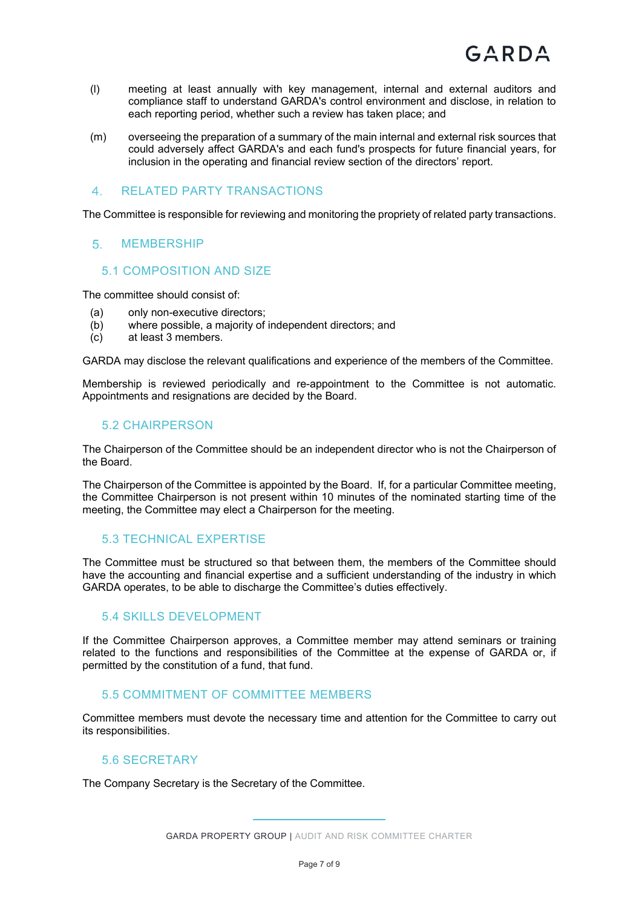- (l) meeting at least annually with key management, internal and external auditors and compliance staff to understand GARDA's control environment and disclose, in relation to each reporting period, whether such a review has taken place; and
- (m) overseeing the preparation of a summary of the main internal and external risk sources that could adversely affect GARDA's and each fund's prospects for future financial years, for inclusion in the operating and financial review section of the directors' report.

#### RELATED PARTY TRANSACTIONS

The Committee is responsible for reviewing and monitoring the propriety of related party transactions.

#### 5 MEMBERSHIP

#### 5.1 COMPOSITION AND SIZE

The committee should consist of:

- (a) only non-executive directors;
- (b) where possible, a majority of independent directors; and
- (c) at least 3 members.

GARDA may disclose the relevant qualifications and experience of the members of the Committee.

Membership is reviewed periodically and re-appointment to the Committee is not automatic. Appointments and resignations are decided by the Board.

#### 5.2 CHAIRPERSON

The Chairperson of the Committee should be an independent director who is not the Chairperson of the Board.

The Chairperson of the Committee is appointed by the Board. If, for a particular Committee meeting, the Committee Chairperson is not present within 10 minutes of the nominated starting time of the meeting, the Committee may elect a Chairperson for the meeting.

#### 5.3 TECHNICAL EXPERTISE

The Committee must be structured so that between them, the members of the Committee should have the accounting and financial expertise and a sufficient understanding of the industry in which GARDA operates, to be able to discharge the Committee's duties effectively.

#### 5.4 SKILLS DEVELOPMENT

If the Committee Chairperson approves, a Committee member may attend seminars or training related to the functions and responsibilities of the Committee at the expense of GARDA or, if permitted by the constitution of a fund, that fund.

#### 5.5 COMMITMENT OF COMMITTEE MEMBERS

Committee members must devote the necessary time and attention for the Committee to carry out its responsibilities.

#### 5.6 SECRETARY

The Company Secretary is the Secretary of the Committee.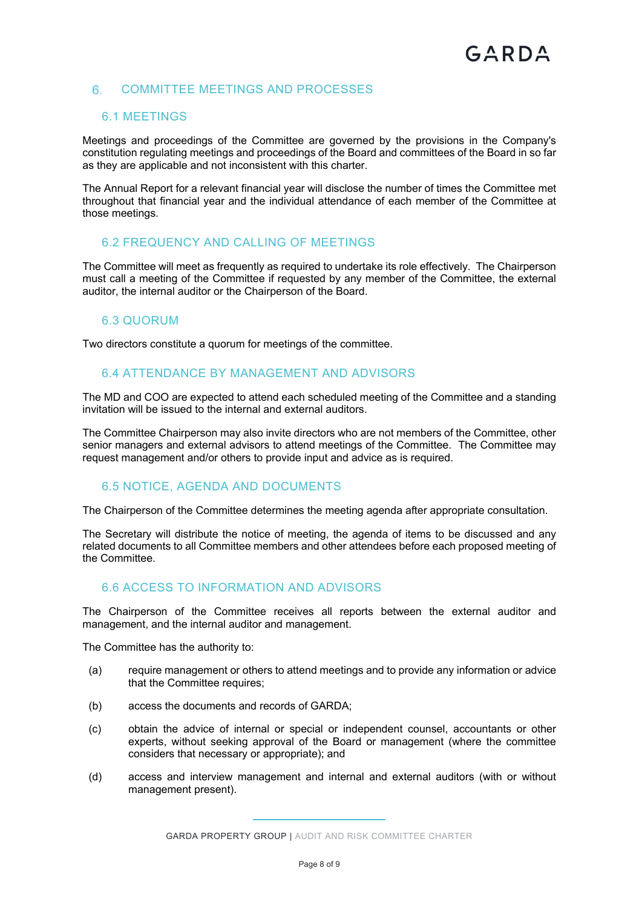#### 6. COMMITTEE MEETINGS AND PROCESSES

#### 6.1 MEETINGS

Meetings and proceedings of the Committee are governed by the provisions in the Company's constitution regulating meetings and proceedings of the Board and committees of the Board in so far as they are applicable and not inconsistent with this charter.

The Annual Report for a relevant financial year will disclose the number of times the Committee met throughout that financial year and the individual attendance of each member of the Committee at those meetings.

#### 6.2 FREQUENCY AND CALLING OF MEETINGS

The Committee will meet as frequently as required to undertake its role effectively. The Chairperson must call a meeting of the Committee if requested by any member of the Committee, the external auditor, the internal auditor or the Chairperson of the Board.

#### 6.3 QUORUM

Two directors constitute a quorum for meetings of the committee.

#### 6.4 ATTENDANCE BY MANAGEMENT AND ADVISORS

The MD and COO are expected to attend each scheduled meeting of the Committee and a standing invitation will be issued to the internal and external auditors.

The Committee Chairperson may also invite directors who are not members of the Committee, other senior managers and external advisors to attend meetings of the Committee. The Committee may request management and/or others to provide input and advice as is required.

#### 6.5 NOTICE, AGENDA AND DOCUMENTS

The Chairperson of the Committee determines the meeting agenda after appropriate consultation.

The Secretary will distribute the notice of meeting, the agenda of items to be discussed and any related documents to all Committee members and other attendees before each proposed meeting of the Committee.

#### 6.6 ACCESS TO INFORMATION AND ADVISORS

The Chairperson of the Committee receives all reports between the external auditor and management, and the internal auditor and management.

The Committee has the authority to:

- (a) require management or others to attend meetings and to provide any information or advice that the Committee requires;
- (b) access the documents and records of GARDA;
- (c) obtain the advice of internal or special or independent counsel, accountants or other experts, without seeking approval of the Board or management (where the committee considers that necessary or appropriate); and
- (d) access and interview management and internal and external auditors (with or without management present).